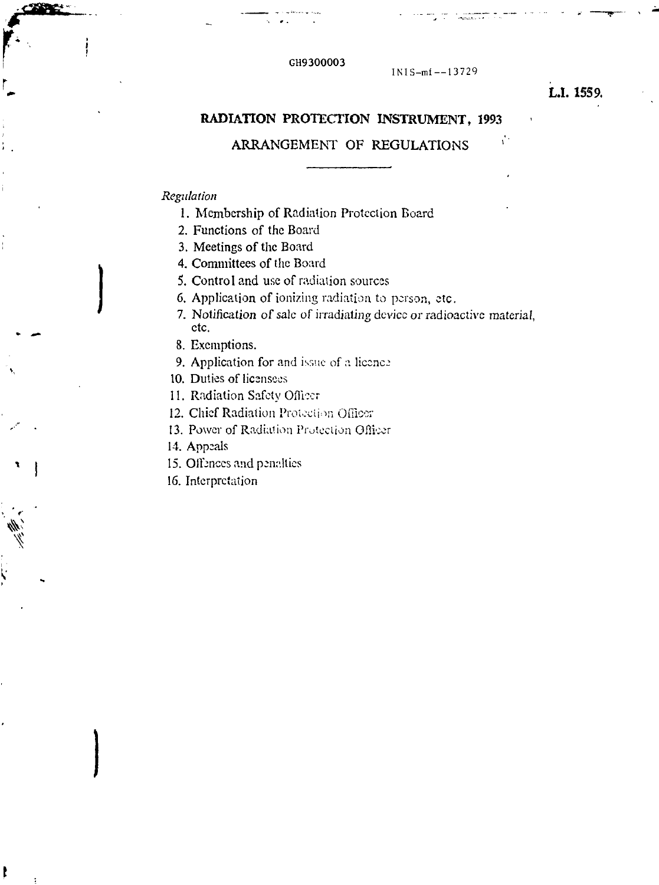### GH9300003

lNIS-mi —13729

# **L.I. 1559.**

# **RADIATION PROTECTION INSTRUMENT, 1993**

# ARRANGEMENT OF REGULATIONS

### *Regulation*

- 1. Membership of Radiation Protection Board
- 2. Functions of the Board
- 3. Meetings of the Board
- 4. Committees of the Board
- 5. Control and use of radiation sources
- 6. Application of ionizing radiation to person, etc.
- 7. Notification of sale of irradiating device or radioactive material, etc.
- 8. Exemptions.
- 9. Application for and issue of a licence
- 10. Duties of licensees
- 11. Radiation Safety Officer
- 12. Chief Radiation Protection Officer
- 13. Power of Radiation Protection Ofliccr
- 14. Appeals

ŧ

- 15. Offences and penalties
- 16. Interpretation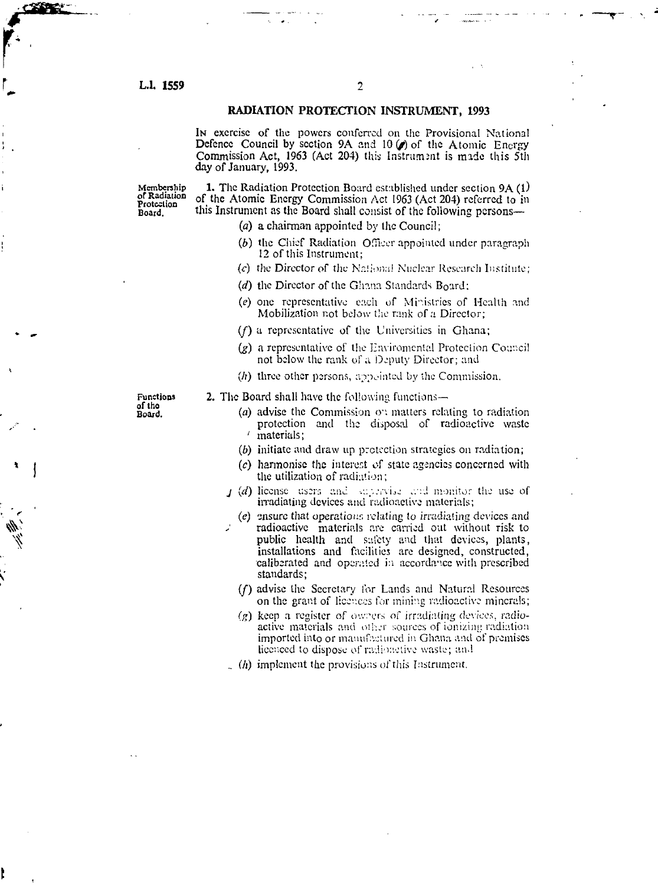#### **L.L 1559** 2

**r**

# **RADIATION PROTECTION INSTRUMENT, 1993**

**IN** exercise of the powers conferred on the Provisional National Defence Council by section 9A and 10 $(\rho)$  of the Atomic Energy Commission Act, 1963 (Act 204) this Instrument is made this 5th day of January, 1993.

Protection

Membership 1. The Radiation Protection Board established under section 9A (1) the Atomic Energy Commission Act 1963 (Act 204) referred to it Board. **tliis** Instrument as the Board shall consist of the following persons—

- *(a)* a chairman appointed by the Council;
- (b) the Chief Radiation Officer appointed under paragraph 12 of this Instrument:
- *(c)* the Director of the National Nuclear Research Institute;
- *(d)* the Director of the Ghana Standards Board:
- (e) one representative each of Ministries of Health and Mobilization not below the rank of a Director;
- (/) a representative of the Universities in Ghana;
- $(g)$  a representative of the Enviromental Protection Council not below the rank of a Deputy Director; and
- $(h)$  three other persons, appointed by the Commission.

Functions 2. The Board shall have the following functions—<br>of the the following functions—

- $\frac{1}{2}$  advise the Commission on matters relating to radiation protection and the disposal of radioactive waste ' materials;
	- *(b)* initiate and draw up protection strategics on radiation;
	- *(c)* harmonise the interest of state agencies concerned with the utilization of radiation;
	- *j* (d) license users and supervise and monitor the use of irradiating devices and radioactive materials;
		- (e) ensure that operations relating to irradiating devices and radioactive materials are carried out without risk to public health and safety and that devices, plants, installations and facilities are designed, constructed, caliberated and operated in accordance with prescribed standards;
		- *(f)* advise the Secretary for Lands and Natural Resources on the grant of licences for mining radioactive minerals;
		- 0») keep a register of owners *of* irradiating *device-:,,* radioactive materials and other sources of ionizing radiation imported into or manufactured in Ghana and of premises licenced to dispose of radiometive waste; and
	- $($ h) implement the provisions of this Instrument.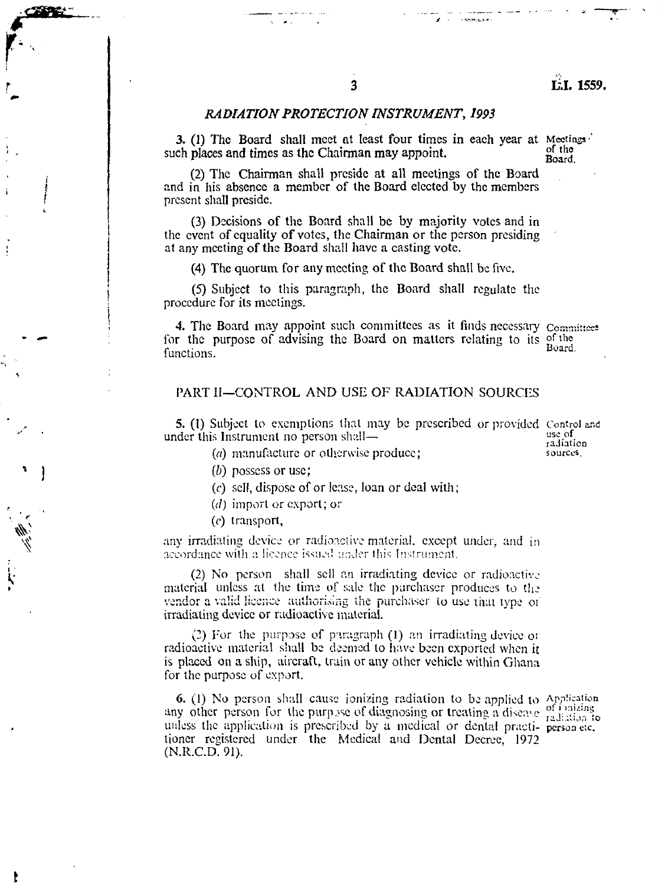## 3

## *RADIATION PROTECTION INSTRUMENT, 1993*

3. (1) The Board shall meet at least four times in each year at Meetings  $\hat{p}$  of the such places and times as the Chairman may appoint.  $G_f^{\text{of the}}$  Board.

(2) The Chairman shall preside at all meetings of the Board and in his absence a member of the Board elected by the members present shall preside.

(3) Decisions of the Board shall be by majority votes and in the event of equality of votes, the Chairman or the person presiding at any meeting of the Board shall have a casting vote.

(4) The quorum for any meeting of the Board shall be five.

(5) Subject to this paragraph, the Board shall regulate the procedure for its meetings.

*4.* The Board may appoint such committees as it finds necessary Committee: for the purpose of advising the Board on matters relating to its of the functions.  $B_{\text{Oart}}$ Board

## PART II—CONTROL AND USE OF RADIATION SOURCES

5. (1) Subject to exemptions that may be prescribed or provided Control and the Instrument no person shall under this Instrument no person shall— $\overline{\phantom{a}}$  and  $\overline{\phantom{a}}$  and  $\overline{\phantom{a}}$  and  $\overline{\phantom{a}}$  and  $\overline{\phantom{a}}$  and  $\overline{\phantom{a}}$  and  $\overline{\phantom{a}}$  and  $\overline{\phantom{a}}$  and  $\overline{\phantom{a}}$  and  $\overline{\phantom{a}}$  and  $\overline{\phantom{a}}$  and  $\overline{\phantom$ 

- or otherwise produce: sources.
- *(b)* possess or use;
- *(c)* sell, dispose of or lease, loan or deal with;
- (d) import or export; or
- *(c)* transport,

**1**

*(c)* transport, any irradiating device or radioactive material, except under, and in accordance with a licence issued under this Instrument.

(2) No person shall sell an irradiating device or radioactive material unless at the time of sale the purchaser produces to the vendor a valid licence authorising the purchaser to use thai type oi irradiating device or radioactive material.

(2) For the purpose of paragraph (1) an irradiating device or radioactive material shall be deemed to have been exported when it is placed on a ship, aircraft, train or any other vehicle within Ghana for the purpose of export.

6. (1) No person shall cause ionizing radiation to be applied to Application any other person for the purpose of diagnosing or treating a disease  $\frac{1}{12}$  initially in unless the application is prescribed by a medical or dental practi-person etc. tioncr registered under the Medical and Dental Decree, 1972 (N.R.C.D. 91).

**Newton Lines**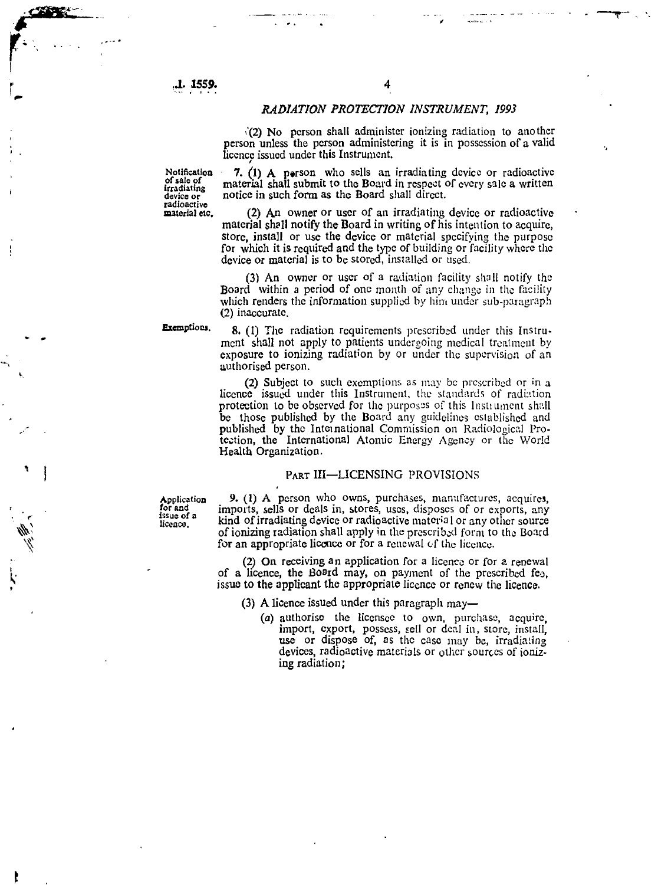**J . 1559 .**

#### *RADIATION PROTECTION INSTRUMENT, 1993*

i'(2 ) N o perso n shal l administe r ionizin g radiatio n t o anothe r person unless the person administering it is in possession of a valid licenc e issue d unde r thi s Instrument .

**Nolificalio n o f sal e o f irradiatin g devic e o r radioactiv e materia l etc .**

*7. (l)* A perso n wh o sell s a n irradiatin g devic e o r radioactiv e material shall submit to the Board in respect of every sale a written notice in such form as the Board shall direct.

(2 ) A n owne r o r use r o f a n irradiatin g devic e o r radioactiv e material shall notify the Board in writing of his intention to acquire, store, install or use the device or material specifying the purpose for which it is required and the type of building or facility where the device or material is to be stored, installed or used.

(3 ) A n owne r o r use r o f a radiatio n facility shal l notify th e Board within a period of one month of any change in the facility which renders the information supplied by him under sub-paragraph (2 ) inaccurate .

**Exeznptiocj .**

8. (1) The radiation requirements prescribed under this Instrument shall not apply to patients undergoing medical treatment by exposure to ionizing radiation by or under the supervision of an authorise d person .

(2) Subject to such exemptions as may be prescribed or in a licence issued under this Instrument, the standards of radiation protection to be observed for the purposes of this Instrument shall be those published by the Board any guidelines established and published by the International Commission on Radiological Protection, the International Atomic Energy Agency or the World Healt h Organization .

#### PAR T III—LICENSIN G PROVISION S

**Applicatio n fo r an d issu e o f a liccaco .**

9 . (1 ) A perso n wh o owns , purchases , manufactures , acquires , imports , sell s o r deal s in , stores , uses , dispose s o f o r exports , an y kind of irradiating device or radioactive material or any other source of ionizing radiation shall apply in the prescribed form to the Board for an appropriate licence or for a renewal of the licence.

(2) On receiving an application for a licence or for a renewal of a licence, the Board may, on payment of the prescribed fee, issue to the applicant the appropriate licence or renew the licence.

(3 ) A licenc e issue d unde r thi s paragrap h may—

(a) authorise the licensee to own, purchase, acquire, import, export, possess, sell or deal in, store, install, use or dispose of, as the case may be, irradiating devices, radioactive materials or other sources of ionizin g radiation ;

**f**

ţ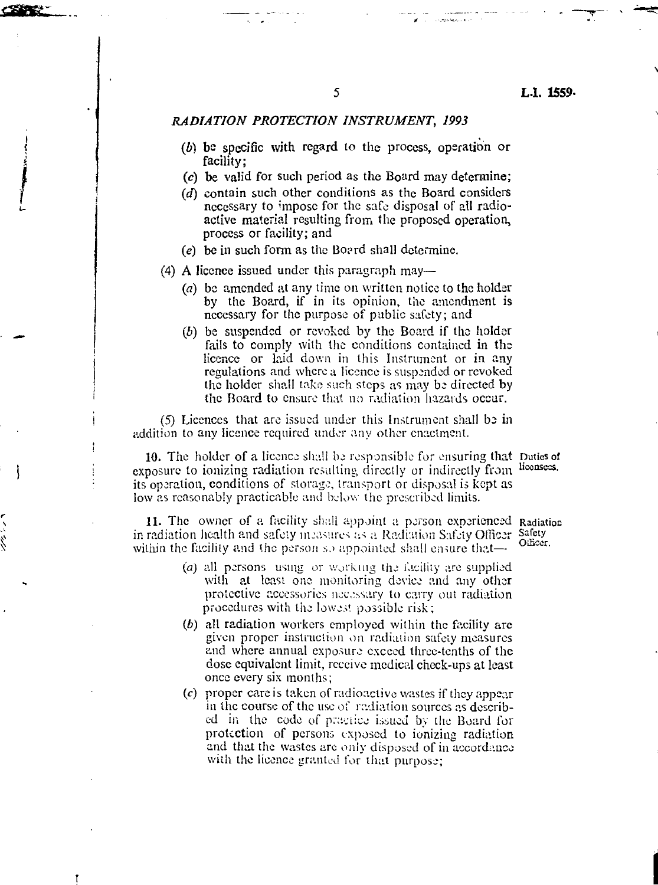#### *RADIATION PROTECTION INSTRUMENT, 1993*

- *(b)* be specific with regard to the process, operation or facility;
- (c) be valid for such period as the Board may determine;
- *id)* contain such other conditions as the Board considers necessary to impose for the safe disposal of all radioactive material resulting from the proposed operation, process or facility; and
- (e) be in such form as the Bo?rd shall determine.

(4) A licence issued under this paragraph may—

- *(a)* be amended at any time on written notice to the holder by the Board, if in its opinion, the amendment is necessary for the purpose of public safety; and
- *(b)* be suspended or revoked by the Board if the holder fails to comply with the conditions contained in the licence or laid down in this Instrument or in any regulations and where a licence is suspended or revoked the holder shall take such steps as may bo directed by the Board to ensure that no radiation hazards occur.

(5) Licences that are issued under this Instrument shall be in addition to any licence required under any other enactment.

10. The holder of a licence shall be responsible *for* ensuring that Duties of exposure to ionizing radiation resulting directly or indirectly from licensees its operation, conditions of storage, transport or disposal is kept as low as reasonably practicable and below the prescribed limits.

11. The owner of a facility shall appoint a person experienced Radiation in radiation health and safety incesures as a Radiation Safety Officer Sa within the facility and the person so appointed shall ensure that—

- *(a)* all persons using or working the facility are supplied with at least one monitoring device and any other protective accessories necessary to carry out radiation procedures with the lowest possible risk;
- *(b)* all radiation workers employed within the facility are given proper instruction *on* radiation safety measures and where annual exposure exceed three-tenths of the dose equivalent limit, receive medical check-ups at least once every six months;
- *{c)* proper care is taken of radioactive wastes if they appear in the course of the use of radiation sources as described in the code of practice issued by the Board for protection of persons exposed to ionizing radiation and that the wastes are only disposed of in accordance with the licence granted for that purpose;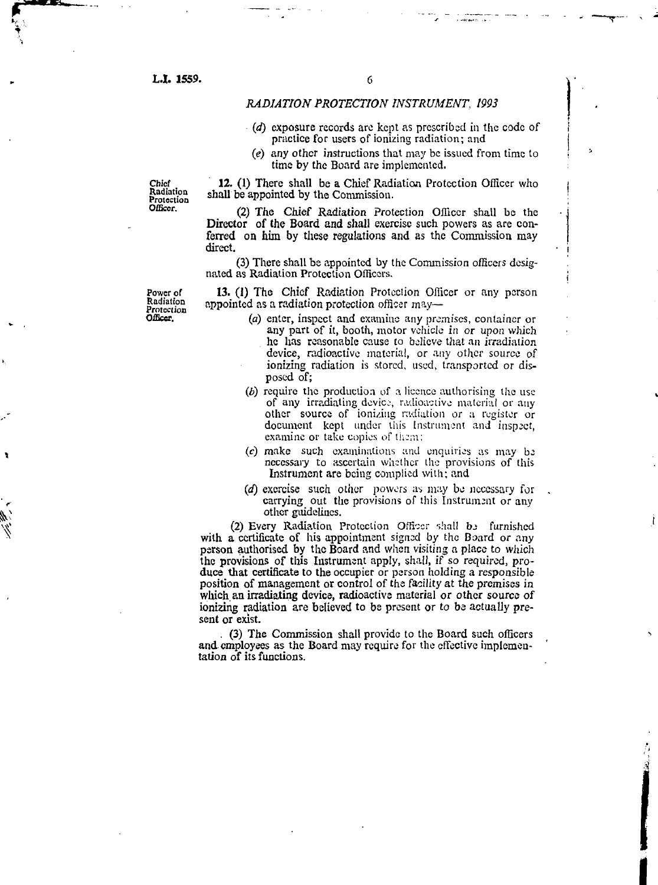L.I. 1559.

## *RADIATION PROTECTION INSTRUMENT, 1993*

- *(d)* exposure records are kept as prescribed in the code of practice for users of ionizing radiation; and
- (e) any other instructions that may be issued from time to time by the Board are implemented.

**Chief Radiation Protection Officer.**

12. (1) There shall be a Chief Radiation Protection Officer who shall be appointed by the Commission.

(2) The Chief Radiation Protection Officer shall be the Director of the Board and shall exercise such powers as are conferred on him by these regulations and as the Commission may direct.

(3) There shall be appointed by the Commission officers designated as Radiation Protection Officers.

13. (1) The Chief Radiation Protection Officer or any person appointed as a radiation protection officer may—

- *(a)* enter, inspect and examine any premises, container or any part of it, booth, motor vehicle in or upon which he has reasonable cause to believe that an irradiation device, radioactive material, or any other source of ionizing radiation is stored, used, transported or disposed of;
- *(b)* require the production of a licence authorising the use of any irradiating device, radioactive material or any other source of ionizing radiation or a register or document kept under this Instrument and inspect, examine or take copies of them;
- $(c)$  make such examinations and enquiries as may be necessary to ascertain whether the provisions of this Instrument are being complied with; and
- *(d)* exercise such other powers as may be necessary for carrying out the provisions of this Instrument or any other guidelines.

(2) Every Radiation Protection Officer shall be furnished with a certificate of his appointment signed by the Board or any person authorised by the Board and when visiting a place to which the provisions of this Instrument apply, shall, if so required, produce that certificate to the occupier or person holding a responsible position of management or control of the facility at the premises in which an irradiating device, radioactive material or other source of ionizing radiation are believed to be present or to be actually present or exist.

. (3) The Commission shall provide to the Board such officers and employees as the Board may require for the effective implementation of its functions.

**I**

**Power of Radiation Protection Officer.**

٧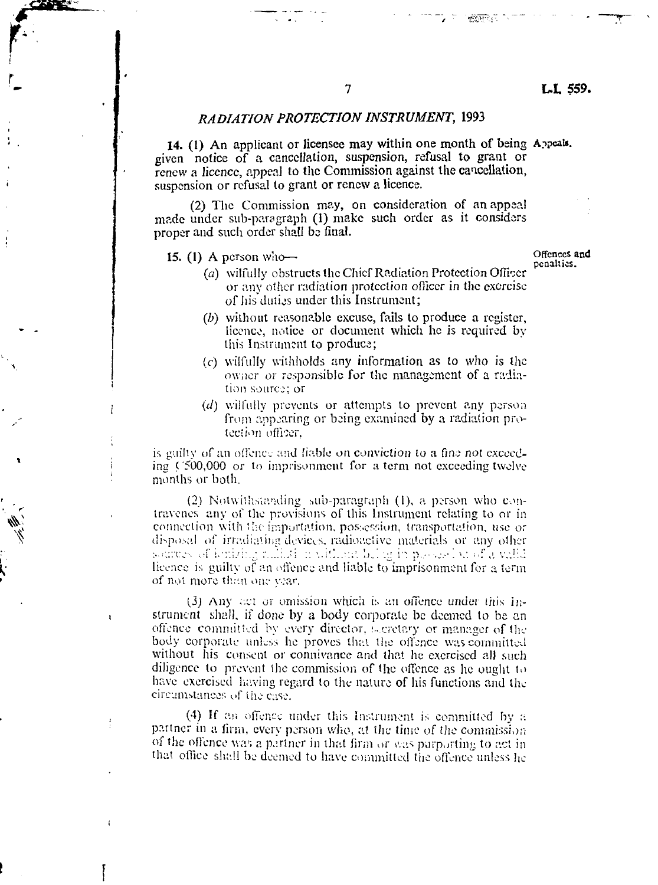### *RAD/AT/ON PROTECTION INSTRUMENT,* 1993

14. (1) An applicant or licensee may within one month of being Appeal\*, given notice of a cancellation, suspension, refusal to grant or renew a licence, appeal to the Commission against the cancellation, suspension or refusal to grant or renew a licence.

(2) The Commission may, on consideration of an appeal made under sub-paragraph (1) make such order as it considers proper and such order shall be final.

15. (1) A person who—

**f**

ţ

Offences and penalties.

- *(a)* wilfully obstructs the Chief Radiation Protection Officer or any other radiation protection officer in the exorcise of his duties under this Instrument;
- *(b)* without reasonable excuse, fails to produce a register, licence, notice or document which he is required by this Instrument to produce;
- $(c)$  wilfully withholds any information as to who is the owner or responsible for the management of a radiation source; or
- *(d)* wilfully prevents or attempts to prevent any person from appearing or being examined by a radiation protection officer,

is guilty of an offence and liable *on* conviction to a fine *nol* exceeding ('500,000 or to imprisonment for a term not exceeding twelve months or both.

(2) Notwithstanding sub-paragraph  $(1)$ , a person who contravenes any of the provisions of this Instrument relating to or in connection with the importation, possession, transportation, use or disposal of irradiating devices, radioactive materials or any other sources of ionizing radiation without being in possession of  $\tilde{a}$  willd licence is guilty of an offence and liable to imprisonment for a term of not more than one year.

(3) Any act or omission which is an offence under this instrument shall, if done by a body corporate be deemed to be an offence committed by every director, secretary or manager of the body corporate unless he proves that the offence was committed. without his consent or connivance and that he exercised all such diligence to prevent the commission of the offence as he ought to have exercised having regard to the nature of his functions and the circumstances of iiie case.

(4) If an offence under this Instrument is committed by a partner in a firm, every person who, at the time of the commission of the offence was a partner in that firm or was purporting to act in that office shall be deemed to have committed the offence unless he